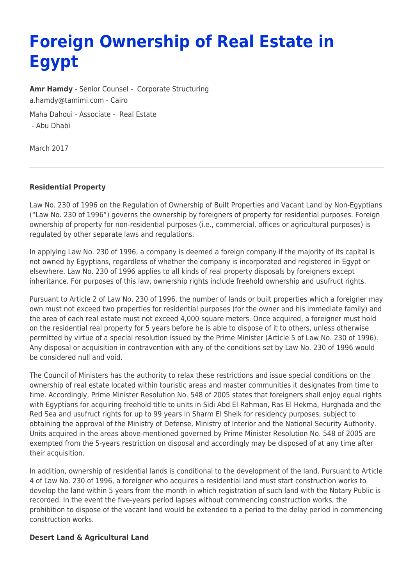# **Foreign Ownership of Real Estate in Egypt**

**[Amr Hamdy](https://www.tamimi.com/find-a-lawyer/amr-hamdy/)** - Senior Counsel - [Corporate Structuring](https://www.tamimi.com/client-services/practices/corporate-structuring/) [a.hamdy@tamimi.com](mailto:a.hamdy@tamimi.com) - [Cairo](https://www.tamimi.com/locations/egypt/)

Maha Dahoui - Associate - [Real Estate](https://www.tamimi.com/client-services/practices/real-estate/)

- [Abu Dhabi](https://www.tamimi.com/locations/uae/)

March 2017

## **Residential Property**

Law No. 230 of 1996 on the Regulation of Ownership of Built Properties and Vacant Land by Non-Egyptians ("Law No. 230 of 1996") governs the ownership by foreigners of property for residential purposes. Foreign ownership of property for non-residential purposes (i.e., commercial, offices or agricultural purposes) is regulated by other separate laws and regulations.

In applying Law No. 230 of 1996, a company is deemed a foreign company if the majority of its capital is not owned by Egyptians, regardless of whether the company is incorporated and registered in Egypt or elsewhere. Law No. 230 of 1996 applies to all kinds of real property disposals by foreigners except inheritance. For purposes of this law, ownership rights include freehold ownership and usufruct rights.

Pursuant to Article 2 of Law No. 230 of 1996, the number of lands or built properties which a foreigner may own must not exceed two properties for residential purposes (for the owner and his immediate family) and the area of each real estate must not exceed 4,000 square meters. Once acquired, a foreigner must hold on the residential real property for 5 years before he is able to dispose of it to others, unless otherwise permitted by virtue of a special resolution issued by the Prime Minister (Article 5 of Law No. 230 of 1996). Any disposal or acquisition in contravention with any of the conditions set by Law No. 230 of 1996 would be considered null and void.

The Council of Ministers has the authority to relax these restrictions and issue special conditions on the ownership of real estate located within touristic areas and master communities it designates from time to time. Accordingly, Prime Minister Resolution No. 548 of 2005 states that foreigners shall enjoy equal rights with Egyptians for acquiring freehold title to units in Sidi Abd El Rahman, Ras El Hekma, Hurghada and the Red Sea and usufruct rights for up to 99 years in Sharm El Sheik for residency purposes, subject to obtaining the approval of the Ministry of Defense, Ministry of Interior and the National Security Authority. Units acquired in the areas above-mentioned governed by Prime Minister Resolution No. 548 of 2005 are exempted from the 5-years restriction on disposal and accordingly may be disposed of at any time after their acquisition.

In addition, ownership of residential lands is conditional to the development of the land. Pursuant to Article 4 of Law No. 230 of 1996, a foreigner who acquires a residential land must start construction works to develop the land within 5 years from the month in which registration of such land with the Notary Public is recorded. In the event the five-years period lapses without commencing construction works, the prohibition to dispose of the vacant land would be extended to a period to the delay period in commencing construction works.

#### **Desert Land & Agricultural Land**